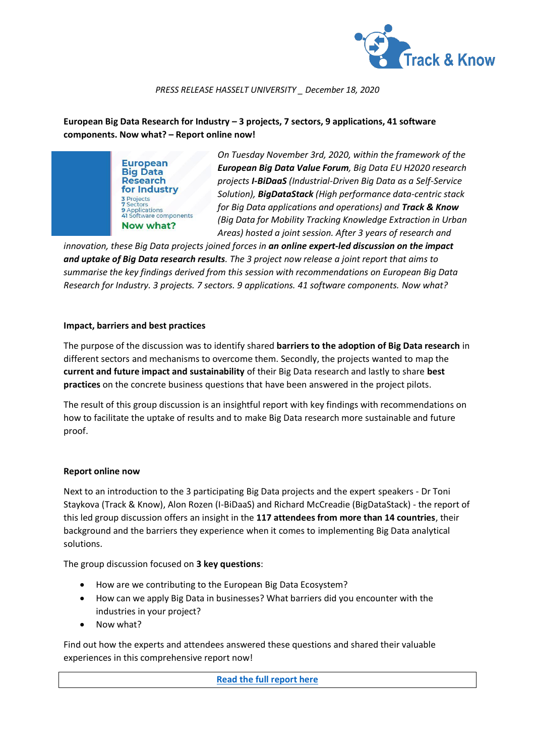

#### *PRESS RELEASE HASSELT UNIVERSITY \_ December 18, 2020*

# **European Big Data Research for Industry – 3 projects, 7 sectors, 9 applications, 41 software components. Now what? – Report online now!**

**European Big Data Research** for Industry 3 Projects<br>7 Sectors **9**<br>**9** Applications<br>**41** Software components Now what?

*On Tuesday November 3rd, 2020, within the framework of the European Big Data Value Forum, Big Data EU H2020 research projects I-BiDaaS (Industrial-Driven Big Data as a Self-Service Solution), BigDataStack (High performance data-centric stack for Big Data applications and operations) and Track & Know (Big Data for Mobility Tracking Knowledge Extraction in Urban Areas) hosted a joint session. After 3 years of research and* 

*innovation, these Big Data projects joined forces in an online expert-led discussion on the impact and uptake of Big Data research results. The 3 project now release a joint report that aims to summarise the key findings derived from this session with recommendations on European Big Data Research for Industry. 3 projects. 7 sectors. 9 applications. 41 software components. Now what?*

### **Impact, barriers and best practices**

The purpose of the discussion was to identify shared **barriers to the adoption of Big Data research** in different sectors and mechanisms to overcome them. Secondly, the projects wanted to map the **current and future impact and sustainability** of their Big Data research and lastly to share **best practices** on the concrete business questions that have been answered in the project pilots.

The result of this group discussion is an insightful report with key findings with recommendations on how to facilitate the uptake of results and to make Big Data research more sustainable and future proof.

### **Report online now**

Next to an introduction to the 3 participating Big Data projects and the expert speakers - Dr Toni Staykova (Track & Know), Alon Rozen (I-BiDaaS) and Richard McCreadie (BigDataStack) - the report of this led group discussion offers an insight in the **117 attendees from more than 14 countries**, their background and the barriers they experience when it comes to implementing Big Data analytical solutions.

The group discussion focused on **3 key questions**:

- How are we contributing to the European Big Data Ecosystem?
- How can we apply Big Data in businesses? What barriers did you encounter with the industries in your project?
- Now what?

Find out how the experts and attendees answered these questions and shared their valuable experiences in this comprehensive report now!

**[Read the full report here](https://zenodo.org/record/4326876#.X9yVrNhKi73)**